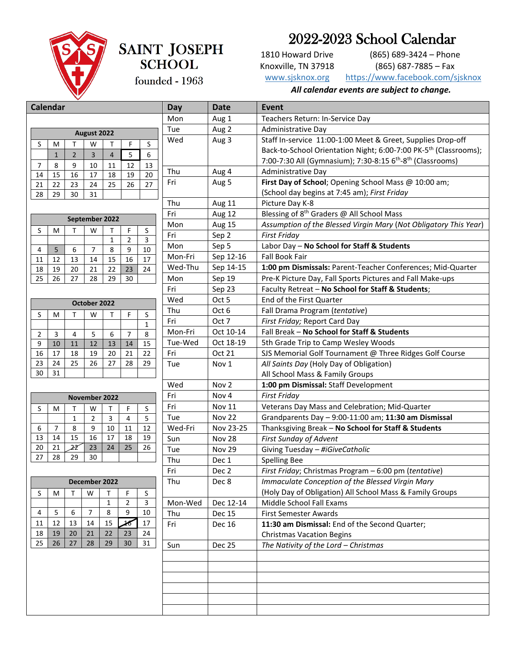

## **SAINT JOSEPH SCHOOL**

2022-2023 School Calendar

1810 Howard Drive Knoxville, TN 37918 [www.sjsknox.org](http://www.sjsknox.org/)

(865) 689-3424 – Phone (865) 687-7885 – Fax <https://www.facebook.com/sjsknox>

founded - 1963

*All calendar events are subject to change.*

| Calendar       |              |                          |                |                |                          |              | Day     | <b>Date</b>      | <b>Event</b>                                                                       |
|----------------|--------------|--------------------------|----------------|----------------|--------------------------|--------------|---------|------------------|------------------------------------------------------------------------------------|
|                |              |                          |                |                |                          |              | Mon     | Aug 1            | Teachers Return: In-Service Day                                                    |
|                |              |                          | August 2022    |                |                          |              | Tue     | Aug 2            | Administrative Day                                                                 |
| S              | M            | т                        | W              | T              | F                        | S            | Wed     | Aug 3            | Staff In-service 11:00-1:00 Meet & Greet, Supplies Drop-off                        |
|                | $\mathbf{1}$ | $\overline{2}$           | 3              | $\overline{4}$ | 5                        | 6            |         |                  | Back-to-School Orientation Night; 6:00-7:00 PK-5 <sup>th</sup> (Classrooms);       |
| $\overline{7}$ | 8            | 9                        | 10             | 11             | 12                       | 13           |         |                  | 7:00-7:30 All (Gymnasium); 7:30-8:15 6 <sup>th</sup> -8 <sup>th</sup> (Classrooms) |
| 14             | 15           | 16                       | 17             | 18             | 19                       | 20           | Thu     | Aug 4            | Administrative Day                                                                 |
| 21             | 22           | 23                       | 24             | 25             | 26                       | 27           | Fri     | Aug 5            | First Day of School; Opening School Mass @ 10:00 am;                               |
| 28             | 29           | 30                       | 31             |                |                          |              |         |                  | (School day begins at 7:45 am); First Friday                                       |
|                |              |                          |                |                |                          |              | Thu     | Aug 11           | Picture Day K-8                                                                    |
|                |              |                          | September 2022 |                |                          |              | Fri     | Aug 12           | Blessing of 8 <sup>th</sup> Graders @ All School Mass                              |
| S              | М            | т                        | W              | т              | F                        | S            | Mon     | Aug 15           | Assumption of the Blessed Virgin Mary (Not Obligatory This Year)                   |
|                |              |                          |                | $\mathbf{1}$   | $\overline{2}$           | 3            | Fri     | Sep 2            | <b>First Friday</b>                                                                |
| 4              | 5            | 6                        | 7              | 8              | 9                        | 10           | Mon     | Sep 5            | Labor Day - No School for Staff & Students                                         |
| 11             | 12           | 13                       | 14             | 15             | 16                       | 17           | Mon-Fri | Sep 12-16        | <b>Fall Book Fair</b>                                                              |
| 18             | 19           | $20\,$                   | 21             | 22             | 23                       | 24           | Wed-Thu | Sep 14-15        | 1:00 pm Dismissals: Parent-Teacher Conferences; Mid-Quarter                        |
| 25             | 26           | 27                       | 28             | 29             | 30                       |              | Mon     | Sep 19           | Pre-K Picture Day, Fall Sports Pictures and Fall Make-ups                          |
|                |              |                          |                |                |                          |              | Fri     | Sep 23           | Faculty Retreat - No School for Staff & Students;                                  |
|                |              |                          | October 2022   |                |                          |              | Wed     | Oct 5            | End of the First Quarter                                                           |
| S              | M            | Τ                        | W              | Τ              | F                        | S            | Thu     | Oct 6            | Fall Drama Program (tentative)                                                     |
|                |              |                          |                |                |                          | $\mathbf{1}$ | Fri     | Oct 7            | First Friday; Report Card Day                                                      |
| $\overline{2}$ | 3            | 4                        | 5              | 6              | $\overline{7}$           | 8            | Mon-Fri | Oct 10-14        | Fall Break - No School for Staff & Students                                        |
| 9              | 10           | 11                       | 12             | 13             | 14                       | 15           | Tue-Wed | Oct 18-19        | 5th Grade Trip to Camp Wesley Woods                                                |
| 16             | 17           | 18                       | 19             | 20             | 21                       | 22           | Fri     | Oct 21           | SJS Memorial Golf Tournament @ Three Ridges Golf Course                            |
| 23             | 24           | 25                       | 26             | 27             | 28                       | 29           | Tue     | Nov 1            | All Saints Day (Holy Day of Obligation)                                            |
| 30             | 31           |                          |                |                |                          |              |         |                  | All School Mass & Family Groups                                                    |
|                |              |                          |                |                |                          |              | Wed     | Nov <sub>2</sub> | 1:00 pm Dismissal: Staff Development                                               |
|                |              |                          | November 2022  |                |                          |              | Fri     | Nov 4            | <b>First Friday</b>                                                                |
| S              | М            | Τ                        | W              | T              | F                        | S            | Fri     | <b>Nov 11</b>    | Veterans Day Mass and Celebration; Mid-Quarter                                     |
|                |              | $\mathbf{1}$             | 2              | 3              | 4                        | 5            | Tue     | Nov 22           | Grandparents Day - 9:00-11:00 am; 11:30 am Dismissal                               |
| 6              | 7            | 8                        | 9              | 10             | 11                       | 12           | Wed-Fri | Nov 23-25        | Thanksgiving Break - No School for Staff & Students                                |
| 13             | 14           | 15                       | 16             | 17             | 18                       | 19           | Sun     | <b>Nov 28</b>    | First Sunday of Advent                                                             |
| 20             | 21           | $\overline{\mathcal{Z}}$ | 23             | 24             | 25                       | 26           | Tue     | Nov 29           | Giving Tuesday - #iGiveCatholic                                                    |
| 27             | 28           | 29                       | 30             |                |                          |              | Thu     | Dec 1            | <b>Spelling Bee</b>                                                                |
|                |              |                          |                |                |                          |              | Fri     | Dec 2            | First Friday; Christmas Program - 6:00 pm (tentative)                              |
| December 2022  |              |                          |                |                |                          |              | Thu     | Dec 8            | Immaculate Conception of the Blessed Virgin Mary                                   |
| S              | М            | Т                        | W              |                | F                        | S            |         |                  | (Holy Day of Obligation) All School Mass & Family Groups                           |
|                |              |                          |                | $\mathbf{1}$   | $\overline{2}$           | 3            | Mon-Wed | Dec 12-14        | Middle School Fall Exams                                                           |
| 4              | 5            | 6                        | $\overline{7}$ | 8              | 9                        | 10           | Thu     | <b>Dec 15</b>    | <b>First Semester Awards</b>                                                       |
| 11             | 12           | 13                       | 14             | 15             | $\overline{\mathcal{K}}$ | 17           | Fri     | Dec 16           | 11:30 am Dismissal: End of the Second Quarter;                                     |
| 18             | 19           | 20                       | 21             | 22             | 23                       | 24           |         |                  | <b>Christmas Vacation Begins</b>                                                   |
| 25             | 26           | 27                       | 28             | 29             | 30                       | 31           | Sun     | <b>Dec 25</b>    | The Nativity of the Lord - Christmas                                               |
|                |              |                          |                |                |                          |              |         |                  |                                                                                    |
|                |              |                          |                |                |                          |              |         |                  |                                                                                    |
|                |              |                          |                |                |                          |              |         |                  |                                                                                    |
|                |              |                          |                |                |                          |              |         |                  |                                                                                    |
|                |              |                          |                |                |                          |              |         |                  |                                                                                    |
|                |              |                          |                |                |                          |              |         |                  |                                                                                    |